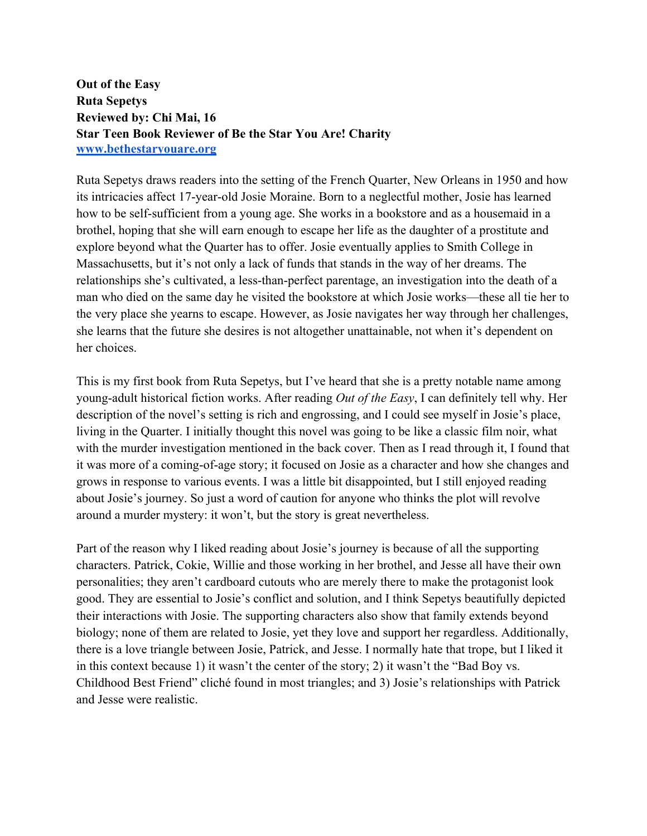**Out of the Easy Ruta Sepetys Reviewed by: Chi Mai, 16 Star Teen Book Reviewer of Be the Star You Are! Charity www.bethestaryouare.org**

Ruta Sepetys draws readers into the setting of the French Quarter, New Orleans in 1950 and how its intricacies affect 17-year-old Josie Moraine. Born to a neglectful mother, Josie has learned how to be self-sufficient from a young age. She works in a bookstore and as a housemaid in a brothel, hoping that she will earn enough to escape her life as the daughter of a prostitute and explore beyond what the Quarter has to offer. Josie eventually applies to Smith College in Massachusetts, but it's not only a lack of funds that stands in the way of her dreams. The relationships she's cultivated, a less-than-perfect parentage, an investigation into the death of a man who died on the same day he visited the bookstore at which Josie works—these all tie her to the very place she yearns to escape. However, as Josie navigates her way through her challenges, she learns that the future she desires is not altogether unattainable, not when it's dependent on her choices.

This is my first book from Ruta Sepetys, but I've heard that she is a pretty notable name among young-adult historical fiction works. After reading *Out of the Easy*, I can definitely tell why. Her description of the novel's setting is rich and engrossing, and I could see myself in Josie's place, living in the Quarter. I initially thought this novel was going to be like a classic film noir, what with the murder investigation mentioned in the back cover. Then as I read through it, I found that it was more of a coming-of-age story; it focused on Josie as a character and how she changes and grows in response to various events. I was a little bit disappointed, but I still enjoyed reading about Josie's journey. So just a word of caution for anyone who thinks the plot will revolve around a murder mystery: it won't, but the story is great nevertheless.

Part of the reason why I liked reading about Josie's journey is because of all the supporting characters. Patrick, Cokie, Willie and those working in her brothel, and Jesse all have their own personalities; they aren't cardboard cutouts who are merely there to make the protagonist look good. They are essential to Josie's conflict and solution, and I think Sepetys beautifully depicted their interactions with Josie. The supporting characters also show that family extends beyond biology; none of them are related to Josie, yet they love and support her regardless. Additionally, there is a love triangle between Josie, Patrick, and Jesse. I normally hate that trope, but I liked it in this context because 1) it wasn't the center of the story; 2) it wasn't the "Bad Boy vs. Childhood Best Friend" cliché found in most triangles; and 3) Josie's relationships with Patrick and Jesse were realistic.